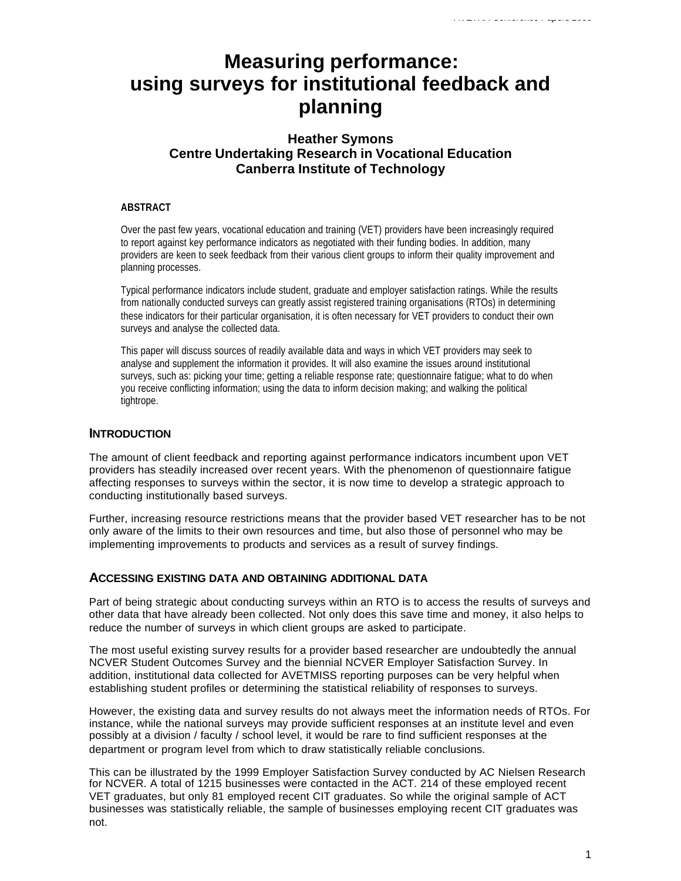# **Measuring performance: using surveys for institutional feedback and planning**

# **Heather Symons Centre Undertaking Research in Vocational Education Canberra Institute of Technology**

#### **ABSTRACT**

Over the past few years, vocational education and training (VET) providers have been increasingly required to report against key performance indicators as negotiated with their funding bodies. In addition, many providers are keen to seek feedback from their various client groups to inform their quality improvement and planning processes.

Typical performance indicators include student, graduate and employer satisfaction ratings. While the results from nationally conducted surveys can greatly assist registered training organisations (RTOs) in determining these indicators for their particular organisation, it is often necessary for VET providers to conduct their own surveys and analyse the collected data.

This paper will discuss sources of readily available data and ways in which VET providers may seek to analyse and supplement the information it provides. It will also examine the issues around institutional surveys, such as: picking your time; getting a reliable response rate; questionnaire fatigue; what to do when you receive conflicting information; using the data to inform decision making; and walking the political tightrope.

## **INTRODUCTION**

The amount of client feedback and reporting against performance indicators incumbent upon VET providers has steadily increased over recent years. With the phenomenon of questionnaire fatigue affecting responses to surveys within the sector, it is now time to develop a strategic approach to conducting institutionally based surveys.

Further, increasing resource restrictions means that the provider based VET researcher has to be not only aware of the limits to their own resources and time, but also those of personnel who may be implementing improvements to products and services as a result of survey findings.

## **ACCESSING EXISTING DATA AND OBTAINING ADDITIONAL DATA**

Part of being strategic about conducting surveys within an RTO is to access the results of surveys and other data that have already been collected. Not only does this save time and money, it also helps to reduce the number of surveys in which client groups are asked to participate.

The most useful existing survey results for a provider based researcher are undoubtedly the annual NCVER Student Outcomes Survey and the biennial NCVER Employer Satisfaction Survey. In addition, institutional data collected for AVETMISS reporting purposes can be very helpful when establishing student profiles or determining the statistical reliability of responses to surveys.

However, the existing data and survey results do not always meet the information needs of RTOs. For instance, while the national surveys may provide sufficient responses at an institute level and even possibly at a division / faculty / school level, it would be rare to find sufficient responses at the department or program level from which to draw statistically reliable conclusions.

This can be illustrated by the 1999 Employer Satisfaction Survey conducted by AC Nielsen Research for NCVER. A total of 1215 businesses were contacted in the ACT. 214 of these employed recent VET graduates, but only 81 employed recent CIT graduates. So while the original sample of ACT businesses was statistically reliable, the sample of businesses employing recent CIT graduates was not.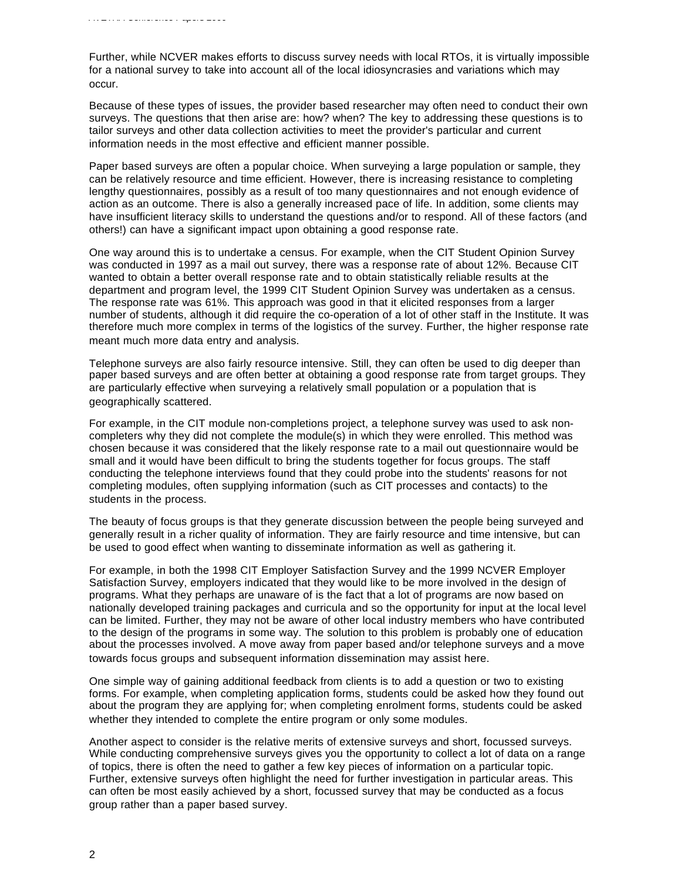Further, while NCVER makes efforts to discuss survey needs with local RTOs, it is virtually impossible for a national survey to take into account all of the local idiosyncrasies and variations which may occur.

Because of these types of issues, the provider based researcher may often need to conduct their own surveys. The questions that then arise are: how? when? The key to addressing these questions is to tailor surveys and other data collection activities to meet the provider's particular and current information needs in the most effective and efficient manner possible.

Paper based surveys are often a popular choice. When surveying a large population or sample, they can be relatively resource and time efficient. However, there is increasing resistance to completing lengthy questionnaires, possibly as a result of too many questionnaires and not enough evidence of action as an outcome. There is also a generally increased pace of life. In addition, some clients may have insufficient literacy skills to understand the questions and/or to respond. All of these factors (and others!) can have a significant impact upon obtaining a good response rate.

One way around this is to undertake a census. For example, when the CIT Student Opinion Survey was conducted in 1997 as a mail out survey, there was a response rate of about 12%. Because CIT wanted to obtain a better overall response rate and to obtain statistically reliable results at the department and program level, the 1999 CIT Student Opinion Survey was undertaken as a census. The response rate was 61%. This approach was good in that it elicited responses from a larger number of students, although it did require the co-operation of a lot of other staff in the Institute. It was therefore much more complex in terms of the logistics of the survey. Further, the higher response rate meant much more data entry and analysis.

Telephone surveys are also fairly resource intensive. Still, they can often be used to dig deeper than paper based surveys and are often better at obtaining a good response rate from target groups. They are particularly effective when surveying a relatively small population or a population that is geographically scattered.

For example, in the CIT module non-completions project, a telephone survey was used to ask noncompleters why they did not complete the module(s) in which they were enrolled. This method was chosen because it was considered that the likely response rate to a mail out questionnaire would be small and it would have been difficult to bring the students together for focus groups. The staff conducting the telephone interviews found that they could probe into the students' reasons for not completing modules, often supplying information (such as CIT processes and contacts) to the students in the process.

The beauty of focus groups is that they generate discussion between the people being surveyed and generally result in a richer quality of information. They are fairly resource and time intensive, but can be used to good effect when wanting to disseminate information as well as gathering it.

For example, in both the 1998 CIT Employer Satisfaction Survey and the 1999 NCVER Employer Satisfaction Survey, employers indicated that they would like to be more involved in the design of programs. What they perhaps are unaware of is the fact that a lot of programs are now based on nationally developed training packages and curricula and so the opportunity for input at the local level can be limited. Further, they may not be aware of other local industry members who have contributed to the design of the programs in some way. The solution to this problem is probably one of education about the processes involved. A move away from paper based and/or telephone surveys and a move towards focus groups and subsequent information dissemination may assist here.

One simple way of gaining additional feedback from clients is to add a question or two to existing forms. For example, when completing application forms, students could be asked how they found out about the program they are applying for; when completing enrolment forms, students could be asked whether they intended to complete the entire program or only some modules.

Another aspect to consider is the relative merits of extensive surveys and short, focussed surveys. While conducting comprehensive surveys gives you the opportunity to collect a lot of data on a range of topics, there is often the need to gather a few key pieces of information on a particular topic. Further, extensive surveys often highlight the need for further investigation in particular areas. This can often be most easily achieved by a short, focussed survey that may be conducted as a focus group rather than a paper based survey.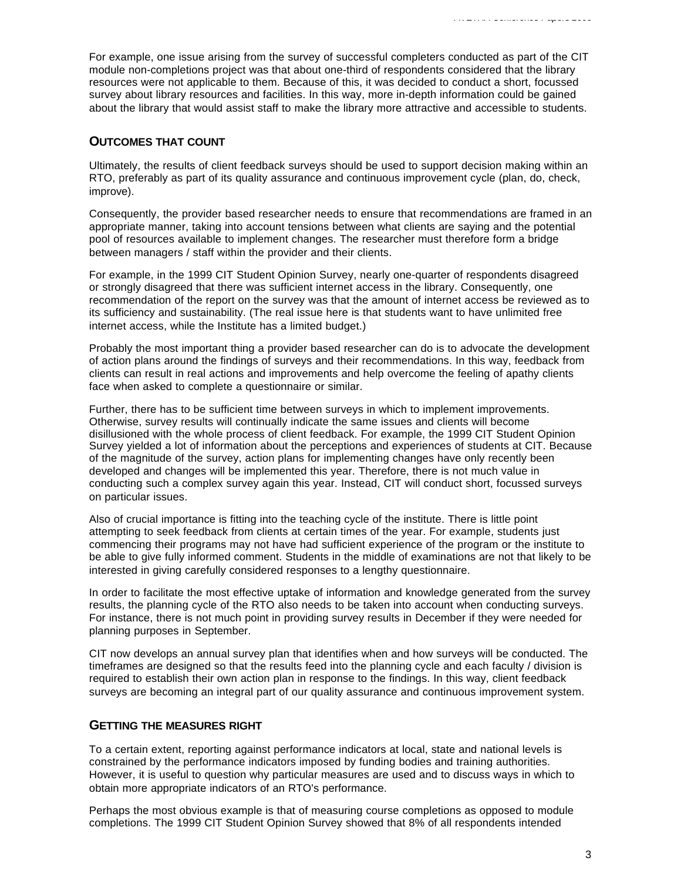For example, one issue arising from the survey of successful completers conducted as part of the CIT module non-completions project was that about one-third of respondents considered that the library resources were not applicable to them. Because of this, it was decided to conduct a short, focussed survey about library resources and facilities. In this way, more in-depth information could be gained about the library that would assist staff to make the library more attractive and accessible to students.

#### **OUTCOMES THAT COUNT**

Ultimately, the results of client feedback surveys should be used to support decision making within an RTO, preferably as part of its quality assurance and continuous improvement cycle (plan, do, check, improve).

Consequently, the provider based researcher needs to ensure that recommendations are framed in an appropriate manner, taking into account tensions between what clients are saying and the potential pool of resources available to implement changes. The researcher must therefore form a bridge between managers / staff within the provider and their clients.

For example, in the 1999 CIT Student Opinion Survey, nearly one-quarter of respondents disagreed or strongly disagreed that there was sufficient internet access in the library. Consequently, one recommendation of the report on the survey was that the amount of internet access be reviewed as to its sufficiency and sustainability. (The real issue here is that students want to have unlimited free internet access, while the Institute has a limited budget.)

Probably the most important thing a provider based researcher can do is to advocate the development of action plans around the findings of surveys and their recommendations. In this way, feedback from clients can result in real actions and improvements and help overcome the feeling of apathy clients face when asked to complete a questionnaire or similar.

Further, there has to be sufficient time between surveys in which to implement improvements. Otherwise, survey results will continually indicate the same issues and clients will become disillusioned with the whole process of client feedback. For example, the 1999 CIT Student Opinion Survey yielded a lot of information about the perceptions and experiences of students at CIT. Because of the magnitude of the survey, action plans for implementing changes have only recently been developed and changes will be implemented this year. Therefore, there is not much value in conducting such a complex survey again this year. Instead, CIT will conduct short, focussed surveys on particular issues.

Also of crucial importance is fitting into the teaching cycle of the institute. There is little point attempting to seek feedback from clients at certain times of the year. For example, students just commencing their programs may not have had sufficient experience of the program or the institute to be able to give fully informed comment. Students in the middle of examinations are not that likely to be interested in giving carefully considered responses to a lengthy questionnaire.

In order to facilitate the most effective uptake of information and knowledge generated from the survey results, the planning cycle of the RTO also needs to be taken into account when conducting surveys. For instance, there is not much point in providing survey results in December if they were needed for planning purposes in September.

CIT now develops an annual survey plan that identifies when and how surveys will be conducted. The timeframes are designed so that the results feed into the planning cycle and each faculty / division is required to establish their own action plan in response to the findings. In this way, client feedback surveys are becoming an integral part of our quality assurance and continuous improvement system.

#### **GETTING THE MEASURES RIGHT**

To a certain extent, reporting against performance indicators at local, state and national levels is constrained by the performance indicators imposed by funding bodies and training authorities. However, it is useful to question why particular measures are used and to discuss ways in which to obtain more appropriate indicators of an RTO's performance.

Perhaps the most obvious example is that of measuring course completions as opposed to module completions. The 1999 CIT Student Opinion Survey showed that 8% of all respondents intended